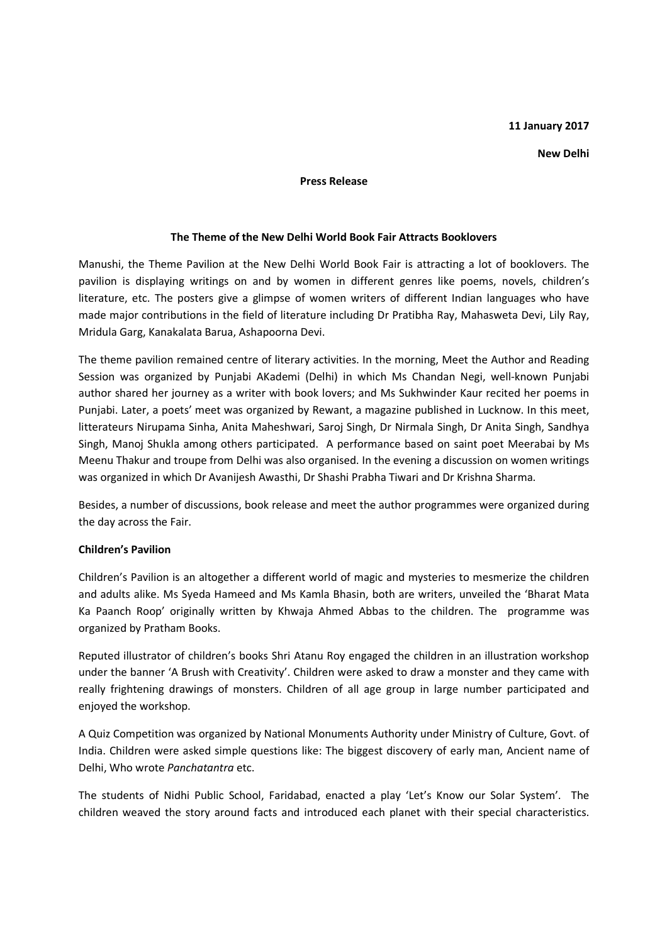### **11 January 2017**

#### **New Delhi**

#### **Press Release**

#### **The Theme of the New Delhi World Book Fair Attracts Booklovers**

Manushi, the Theme Pavilion at the New Delhi World Book Fair is attracting a lot of booklovers. The pavilion is displaying writings on and by women in different genres like poems, novels, children's literature, etc. The posters give a glimpse of women writers of different Indian languages who have made major contributions in the field of literature including Dr Pratibha Ray, Mahasweta Devi, Lily Ray, Mridula Garg, Kanakalata Barua, Ashapoorna Devi.

The theme pavilion remained centre of literary activities. In the morning, Meet the Author and Reading Session was organized by Punjabi AKademi (Delhi) in which Ms Chandan Negi, well-known Punjabi author shared her journey as a writer with book lovers; and Ms Sukhwinder Kaur recited her poems in Punjabi. Later, a poets' meet was organized by Rewant, a magazine published in Lucknow. In this meet, litterateurs Nirupama Sinha, Anita Maheshwari, Saroj Singh, Dr Nirmala Singh, Dr Anita Singh, Sandhya Singh, Manoj Shukla among others participated. A performance based on saint poet Meerabai by Ms Meenu Thakur and troupe from Delhi was also organised. In the evening a discussion on women writings was organized in which Dr Avanijesh Awasthi, Dr Shashi Prabha Tiwari and Dr Krishna Sharma.

Besides, a number of discussions, book release and meet the author programmes were organized during the day across the Fair.

# **Children's Pavilion**

Children's Pavilion is an altogether a different world of magic and mysteries to mesmerize the children and adults alike. Ms Syeda Hameed and Ms Kamla Bhasin, both are writers, unveiled the 'Bharat Mata Ka Paanch Roop' originally written by Khwaja Ahmed Abbas to the children. The programme was organized by Pratham Books.

Reputed illustrator of children's books Shri Atanu Roy engaged the children in an illustration workshop under the banner 'A Brush with Creativity'. Children were asked to draw a monster and they came with really frightening drawings of monsters. Children of all age group in large number participated and enjoyed the workshop.

A Quiz Competition was organized by National Monuments Authority under Ministry of Culture, Govt. of India. Children were asked simple questions like: The biggest discovery of early man, Ancient name of Delhi, Who wrote *Panchatantra* etc.

The students of Nidhi Public School, Faridabad, enacted a play 'Let's Know our Solar System'. The children weaved the story around facts and introduced each planet with their special characteristics.